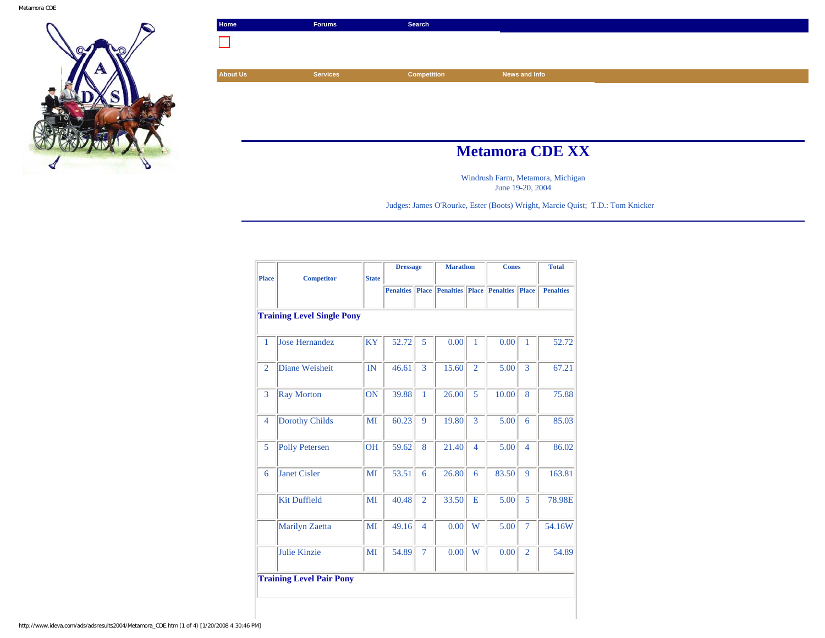

| Home                   | <b>Forums</b>   | Search             |               |  |
|------------------------|-----------------|--------------------|---------------|--|
|                        |                 |                    |               |  |
|                        |                 |                    |               |  |
| <b>About Us</b>        | <b>Services</b> | <b>Competition</b> | News and Info |  |
|                        |                 |                    |               |  |
|                        |                 |                    |               |  |
|                        |                 |                    |               |  |
|                        |                 |                    |               |  |
| <b>Metamora CDE XX</b> |                 |                    |               |  |

Windrush Farm, Metamora, Michigan June 19-20, 2004

Judges: James O'Rourke, Ester (Boots) Wright, Marcie Quist; T.D.: Tom Knicker

|                |                                   |              | <b>Dressage</b>  |                | <b>Marathon</b>        |                | <b>Cones</b>                 |                | <b>Total</b>     |
|----------------|-----------------------------------|--------------|------------------|----------------|------------------------|----------------|------------------------------|----------------|------------------|
| <b>Place</b>   | <b>Competitor</b>                 | <b>State</b> |                  |                |                        |                |                              |                |                  |
|                |                                   |              | <b>Penalties</b> |                | <b>Place Penalties</b> |                | <b>Place Penalties Place</b> |                | <b>Penalties</b> |
|                | <b>Training Level Single Pony</b> |              |                  |                |                        |                |                              |                |                  |
| $\mathbf{1}$   | Jose Hernandez                    | <b>KY</b>    | 52.72            | 5              | 0.00                   | 1              | 0.00                         | 1              | 52.72            |
| $\overline{2}$ | Diane Weisheit                    | IN           | 46.61            | 3              | 15.60                  | $\overline{2}$ | 5.00                         | 3              | 67.21            |
| 3              | <b>Ray Morton</b>                 | ON           | 39.88            | 1              | 26.00                  | 5              | 10.00                        | 8              | 75.88            |
| $\overline{4}$ | <b>Dorothy Childs</b>             | MI           | 60.23            | 9              | 19.80                  | 3              | 5.00                         | 6              | 85.03            |
| 5              | <b>Polly Petersen</b>             | <b>OH</b>    | 59.62            | 8              | 21.40                  | $\overline{4}$ | 5.00                         | $\overline{4}$ | 86.02            |
| 6              | Janet Cisler                      | MI           | 53.51            | 6              | 26.80                  | 6              | 83.50                        | 9              | 163.81           |
|                | <b>Kit Duffield</b>               | MI           | 40.48            | $\overline{2}$ | 33.50                  | E              | 5.00                         | 5              | 78.98E           |
|                | Marilyn Zaetta                    | MI           | 49.16            | $\overline{4}$ | 0.00                   | $\mathbf W$    | 5.00                         | 7              | 54.16W           |
|                | Julie Kinzie                      | MI           | 54.89            | $\tau$         | 0.00                   | W              | 0.00                         | $\overline{2}$ | 54.89            |
|                | <b>Training Level Pair Pony</b>   |              |                  |                |                        |                |                              |                |                  |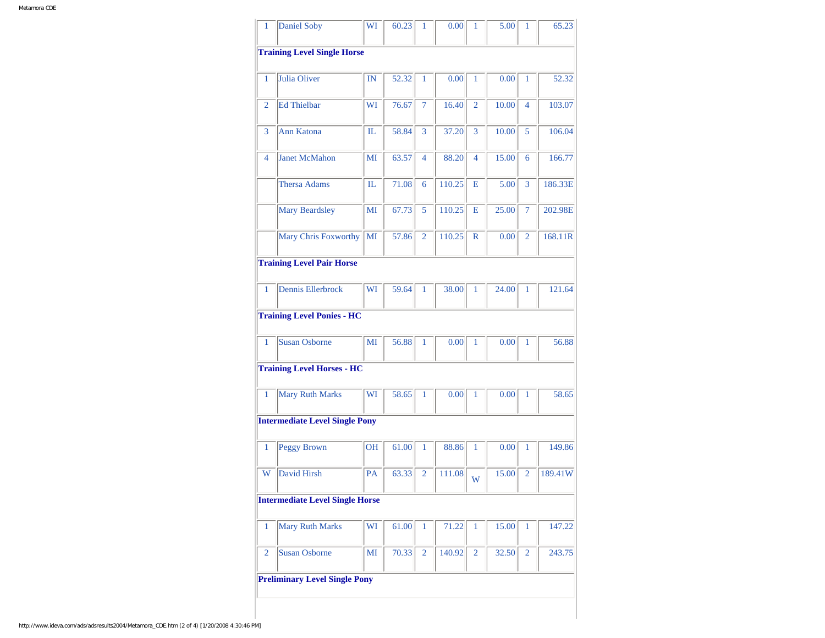|                | Daniel Soby                            | WI        | 60.23 | 1              | 0.00   | 1              | 5.00  | 1              | 65.23   |
|----------------|----------------------------------------|-----------|-------|----------------|--------|----------------|-------|----------------|---------|
|                | <b>Training Level Single Horse</b>     |           |       |                |        |                |       |                |         |
| 1              | Julia Oliver                           | IN        | 52.32 | 1              | 0.00   | 1              | 0.00  | 1              | 52.32   |
| $\overline{2}$ | <b>Ed Thielbar</b>                     | WI        | 76.67 | 7              | 16.40  | $\overline{2}$ | 10.00 | 4              | 103.07  |
| 3              | <b>Ann Katona</b>                      | IL        | 58.84 | 3              | 37.20  | 3              | 10.00 | 5              | 106.04  |
| 4              | Janet McMahon                          | MI        | 63.57 | 4              | 88.20  | $\overline{4}$ | 15.00 | 6              | 166.77  |
|                | <b>Thersa Adams</b>                    | IL        | 71.08 | 6              | 110.25 | Е              | 5.00  | 3              | 186.33E |
|                | <b>Mary Beardsley</b>                  | MI        | 67.73 | 5              | 110.25 | Е              | 25.00 | 7              | 202.98E |
|                | Mary Chris Foxworthy                   | MI        | 57.86 | 2              | 110.25 | R              | 0.00  | $\overline{2}$ | 168.11R |
|                | <b>Training Level Pair Horse</b>       |           |       |                |        |                |       |                |         |
| 1              | Dennis Ellerbrock                      | WI        | 59.64 | 1              | 38.00  | $\mathbf{1}$   | 24.00 | 1              | 121.64  |
|                | <b>Training Level Ponies - HC</b>      |           |       |                |        |                |       |                |         |
|                |                                        |           |       | 1              | 0.00   | 1              | 0.00  | 1              | 56.88   |
| 1              | Susan Osborne                          | MI        | 56.88 |                |        |                |       |                |         |
|                | <b>Training Level Horses - HC</b>      |           |       |                |        |                |       |                |         |
| 1              | Mary Ruth Marks                        | WI        | 58.65 | 1              | 0.00   | 1              | 0.00  | 1              | 58.65   |
|                | <b>Intermediate Level Single Pony</b>  |           |       |                |        |                |       |                |         |
| 1              | Peggy Brown                            | <b>OH</b> | 61.00 | 1              | 88.86  | 1              | 0.00  | 1              | 149.86  |
| W              | David Hirsh                            | PA        | 63.33 | $\overline{2}$ | 111.08 | W              | 15.00 | $\overline{2}$ | 189.41W |
|                | <b>Intermediate Level Single Horse</b> |           |       |                |        |                |       |                |         |
| $\mathbf{1}$   | <b>Mary Ruth Marks</b>                 | WI        | 61.00 | 1              | 71.22  | 1              | 15.00 | 1              | 147.22  |
| $\overline{2}$ | <b>Susan Osborne</b>                   | MI        | 70.33 | $\overline{2}$ | 140.92 | $\overline{2}$ | 32.50 | $\overline{2}$ | 243.75  |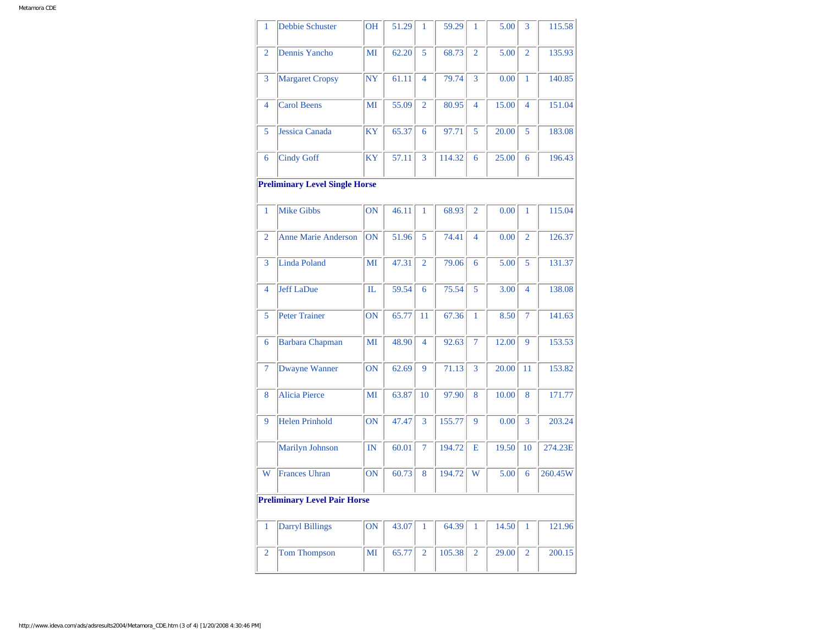| 1                                   | <b>Debbie Schuster</b>                | <b>OH</b> | 51.29 | 1              | 59.29  | 1              | 5.00  | 3              | 115.58  |
|-------------------------------------|---------------------------------------|-----------|-------|----------------|--------|----------------|-------|----------------|---------|
| $\overline{2}$                      | Dennis Yancho                         | MI        | 62.20 | 5              | 68.73  | $\overline{2}$ | 5.00  | $\overline{2}$ | 135.93  |
| 3                                   | <b>Margaret Cropsy</b>                | NY        | 61.11 | 4              | 79.74  | 3              | 0.00  | 1              | 140.85  |
| 4                                   | <b>Carol Beens</b>                    | MI        | 55.09 | $\overline{2}$ | 80.95  | $\overline{4}$ | 15.00 | $\overline{4}$ | 151.04  |
| 5                                   | Jessica Canada                        | KY        | 65.37 | 6              | 97.71  | 5              | 20.00 | 5              | 183.08  |
| 6                                   | <b>Cindy Goff</b>                     | <b>KY</b> | 57.11 | 3              | 114.32 | 6              | 25.00 | 6              | 196.43  |
|                                     | <b>Preliminary Level Single Horse</b> |           |       |                |        |                |       |                |         |
|                                     |                                       |           |       |                |        |                |       |                |         |
| 1                                   | <b>Mike Gibbs</b>                     | ON        | 46.11 | 1              | 68.93  | $\overline{2}$ | 0.00  | 1              | 115.04  |
| $\overline{2}$                      | <b>Anne Marie Anderson</b>            | ON        | 51.96 | 5              | 74.41  | $\overline{4}$ | 0.00  | $\overline{2}$ | 126.37  |
| 3                                   | <b>Linda Poland</b>                   | MI        | 47.31 | 2              | 79.06  | 6              | 5.00  | 5              | 131.37  |
| 4                                   | Jeff LaDue                            | IL        | 59.54 | 6              | 75.54  | 5              | 3.00  | $\overline{4}$ | 138.08  |
| 5                                   | <b>Peter Trainer</b>                  | ON        | 65.77 | 11             | 67.36  | 1              | 8.50  | $\overline{7}$ | 141.63  |
| 6                                   | <b>Barbara Chapman</b>                | MI        | 48.90 | 4              | 92.63  | 7              | 12.00 | 9              | 153.53  |
| 7                                   | <b>Dwayne Wanner</b>                  | <b>ON</b> | 62.69 | 9              | 71.13  | 3              | 20.00 | 11             | 153.82  |
| 8                                   | <b>Alicia Pierce</b>                  | MI        | 63.87 | 10             | 97.90  | 8              | 10.00 | 8              | 171.77  |
| 9                                   | <b>Helen Prinhold</b>                 | ON        | 47.47 | 3              | 155.77 | 9              | 0.00  | 3              | 203.24  |
|                                     | <b>Marilyn Johnson</b>                | IN        | 60.01 | 7              | 194.72 | Е              | 19.50 | 10             | 274.23E |
| W                                   | <b>Frances Uhran</b>                  | ON        | 60.73 | 8              | 194.72 | W              | 5.00  | 6              | 260.45W |
| <b>Preliminary Level Pair Horse</b> |                                       |           |       |                |        |                |       |                |         |
| $\mathbf{1}$                        | <b>Darryl Billings</b>                | ON        | 43.07 | 1              | 64.39  | 1              | 14.50 | 1              | 121.96  |
| $\overline{2}$                      | <b>Tom Thompson</b>                   | MI        | 65.77 | $\overline{2}$ | 105.38 | $\overline{2}$ | 29.00 | $\overline{2}$ | 200.15  |